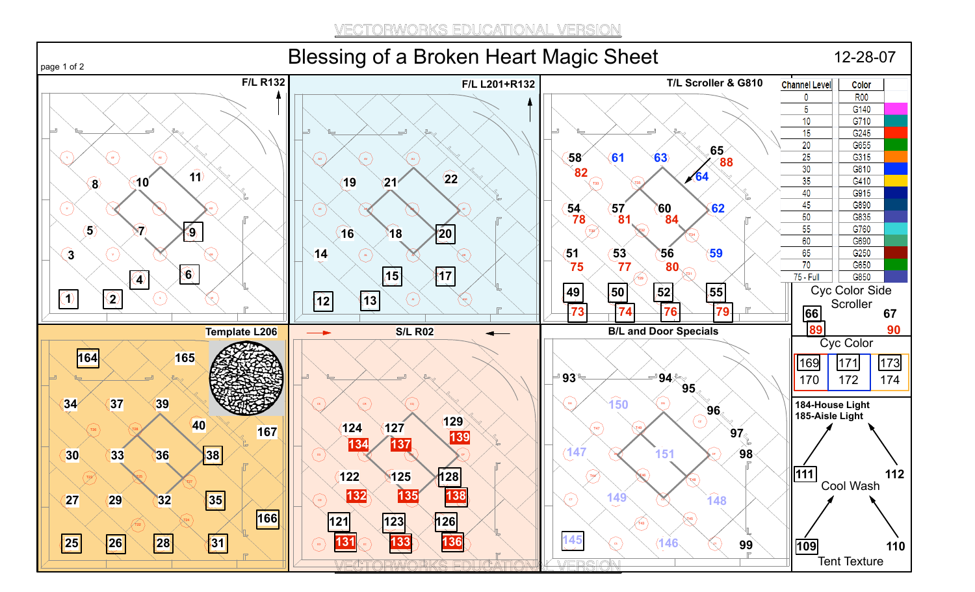VECTORWORKS EDUCATIONAL VERSION